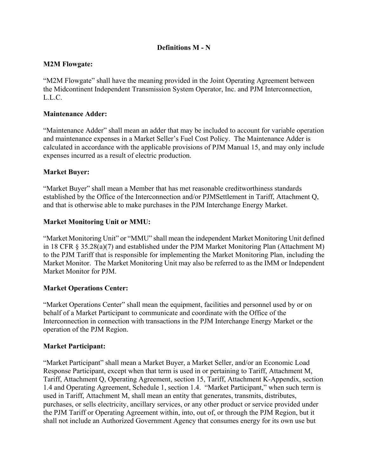# **Definitions M - N**

## **M2M Flowgate:**

"M2M Flowgate" shall have the meaning provided in the Joint Operating Agreement between the Midcontinent Independent Transmission System Operator, Inc. and PJM Interconnection, L.L.C.

## **Maintenance Adder:**

"Maintenance Adder" shall mean an adder that may be included to account for variable operation and maintenance expenses in a Market Seller's Fuel Cost Policy. The Maintenance Adder is calculated in accordance with the applicable provisions of PJM Manual 15, and may only include expenses incurred as a result of electric production.

### **Market Buyer:**

"Market Buyer" shall mean a Member that has met reasonable creditworthiness standards established by the Office of the Interconnection and/or PJMSettlement in Tariff, Attachment Q, and that is otherwise able to make purchases in the PJM Interchange Energy Market.

## **Market Monitoring Unit or MMU:**

"Market Monitoring Unit" or "MMU" shall mean the independent Market Monitoring Unit defined in 18 CFR § 35.28(a)(7) and established under the PJM Market Monitoring Plan (Attachment M) to the PJM Tariff that is responsible for implementing the Market Monitoring Plan, including the Market Monitor. The Market Monitoring Unit may also be referred to as the IMM or Independent Market Monitor for PJM.

### **Market Operations Center:**

"Market Operations Center" shall mean the equipment, facilities and personnel used by or on behalf of a Market Participant to communicate and coordinate with the Office of the Interconnection in connection with transactions in the PJM Interchange Energy Market or the operation of the PJM Region.

### **Market Participant:**

"Market Participant" shall mean a Market Buyer, a Market Seller, and/or an Economic Load Response Participant, except when that term is used in or pertaining to Tariff, Attachment M, Tariff, Attachment Q, Operating Agreement, section 15, Tariff, Attachment K-Appendix, section 1.4 and Operating Agreement, Schedule 1, section 1.4. "Market Participant," when such term is used in Tariff, Attachment M, shall mean an entity that generates, transmits, distributes, purchases, or sells electricity, ancillary services, or any other product or service provided under the PJM Tariff or Operating Agreement within, into, out of, or through the PJM Region, but it shall not include an Authorized Government Agency that consumes energy for its own use but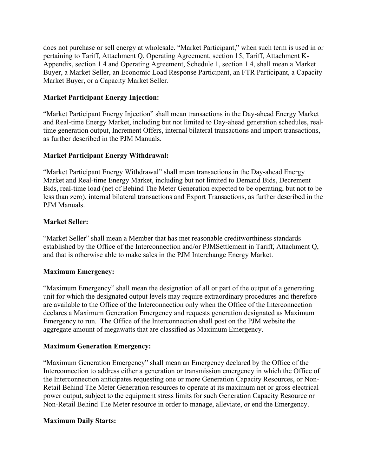does not purchase or sell energy at wholesale. "Market Participant," when such term is used in or pertaining to Tariff, Attachment Q, Operating Agreement, section 15, Tariff, Attachment K-Appendix, section 1.4 and Operating Agreement, Schedule 1, section 1.4, shall mean a Market Buyer, a Market Seller, an Economic Load Response Participant, an FTR Participant, a Capacity Market Buyer, or a Capacity Market Seller.

## **Market Participant Energy Injection:**

"Market Participant Energy Injection" shall mean transactions in the Day-ahead Energy Market and Real-time Energy Market, including but not limited to Day-ahead generation schedules, realtime generation output, Increment Offers, internal bilateral transactions and import transactions, as further described in the PJM Manuals.

# **Market Participant Energy Withdrawal:**

"Market Participant Energy Withdrawal" shall mean transactions in the Day-ahead Energy Market and Real-time Energy Market, including but not limited to Demand Bids, Decrement Bids, real-time load (net of Behind The Meter Generation expected to be operating, but not to be less than zero), internal bilateral transactions and Export Transactions, as further described in the PJM Manuals.

## **Market Seller:**

"Market Seller" shall mean a Member that has met reasonable creditworthiness standards established by the Office of the Interconnection and/or PJMSettlement in Tariff, Attachment Q, and that is otherwise able to make sales in the PJM Interchange Energy Market.

### **Maximum Emergency:**

"Maximum Emergency" shall mean the designation of all or part of the output of a generating unit for which the designated output levels may require extraordinary procedures and therefore are available to the Office of the Interconnection only when the Office of the Interconnection declares a Maximum Generation Emergency and requests generation designated as Maximum Emergency to run. The Office of the Interconnection shall post on the PJM website the aggregate amount of megawatts that are classified as Maximum Emergency.

### **Maximum Generation Emergency:**

"Maximum Generation Emergency" shall mean an Emergency declared by the Office of the Interconnection to address either a generation or transmission emergency in which the Office of the Interconnection anticipates requesting one or more Generation Capacity Resources, or Non-Retail Behind The Meter Generation resources to operate at its maximum net or gross electrical power output, subject to the equipment stress limits for such Generation Capacity Resource or Non-Retail Behind The Meter resource in order to manage, alleviate, or end the Emergency.

### **Maximum Daily Starts:**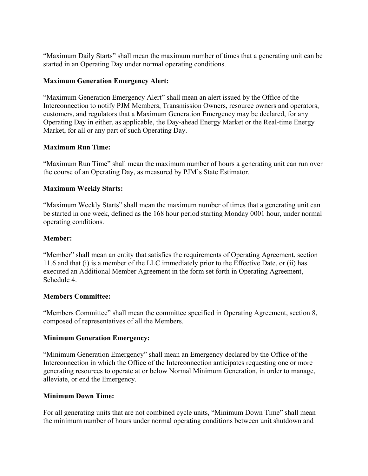"Maximum Daily Starts" shall mean the maximum number of times that a generating unit can be started in an Operating Day under normal operating conditions.

# **Maximum Generation Emergency Alert:**

"Maximum Generation Emergency Alert" shall mean an alert issued by the Office of the Interconnection to notify PJM Members, Transmission Owners, resource owners and operators, customers, and regulators that a Maximum Generation Emergency may be declared, for any Operating Day in either, as applicable, the Day-ahead Energy Market or the Real-time Energy Market, for all or any part of such Operating Day.

# **Maximum Run Time:**

"Maximum Run Time" shall mean the maximum number of hours a generating unit can run over the course of an Operating Day, as measured by PJM's State Estimator.

# **Maximum Weekly Starts:**

"Maximum Weekly Starts" shall mean the maximum number of times that a generating unit can be started in one week, defined as the 168 hour period starting Monday 0001 hour, under normal operating conditions.

# **Member:**

"Member" shall mean an entity that satisfies the requirements of Operating Agreement, section 11.6 and that (i) is a member of the LLC immediately prior to the Effective Date, or (ii) has executed an Additional Member Agreement in the form set forth in Operating Agreement, Schedule 4.

# **Members Committee:**

"Members Committee" shall mean the committee specified in Operating Agreement, section 8, composed of representatives of all the Members.

# **Minimum Generation Emergency:**

"Minimum Generation Emergency" shall mean an Emergency declared by the Office of the Interconnection in which the Office of the Interconnection anticipates requesting one or more generating resources to operate at or below Normal Minimum Generation, in order to manage, alleviate, or end the Emergency.

# **Minimum Down Time:**

For all generating units that are not combined cycle units, "Minimum Down Time" shall mean the minimum number of hours under normal operating conditions between unit shutdown and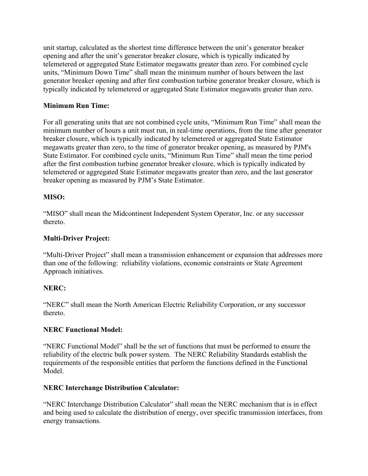unit startup, calculated as the shortest time difference between the unit's generator breaker opening and after the unit's generator breaker closure, which is typically indicated by telemetered or aggregated State Estimator megawatts greater than zero. For combined cycle units, "Minimum Down Time" shall mean the minimum number of hours between the last generator breaker opening and after first combustion turbine generator breaker closure, which is typically indicated by telemetered or aggregated State Estimator megawatts greater than zero.

# **Minimum Run Time:**

For all generating units that are not combined cycle units, "Minimum Run Time" shall mean the minimum number of hours a unit must run, in real-time operations, from the time after generator breaker closure, which is typically indicated by telemetered or aggregated State Estimator megawatts greater than zero, to the time of generator breaker opening, as measured by PJM's State Estimator. For combined cycle units, "Minimum Run Time" shall mean the time period after the first combustion turbine generator breaker closure, which is typically indicated by telemetered or aggregated State Estimator megawatts greater than zero, and the last generator breaker opening as measured by PJM's State Estimator.

# **MISO:**

"MISO" shall mean the Midcontinent Independent System Operator, Inc. or any successor thereto.

# **Multi-Driver Project:**

"Multi-Driver Project" shall mean a transmission enhancement or expansion that addresses more than one of the following: reliability violations, economic constraints or State Agreement Approach initiatives.

# **NERC:**

"NERC" shall mean the North American Electric Reliability Corporation, or any successor thereto.

# **NERC Functional Model:**

"NERC Functional Model" shall be the set of functions that must be performed to ensure the reliability of the electric bulk power system. The NERC Reliability Standards establish the requirements of the responsible entities that perform the functions defined in the Functional Model.

# **NERC Interchange Distribution Calculator:**

"NERC Interchange Distribution Calculator" shall mean the NERC mechanism that is in effect and being used to calculate the distribution of energy, over specific transmission interfaces, from energy transactions.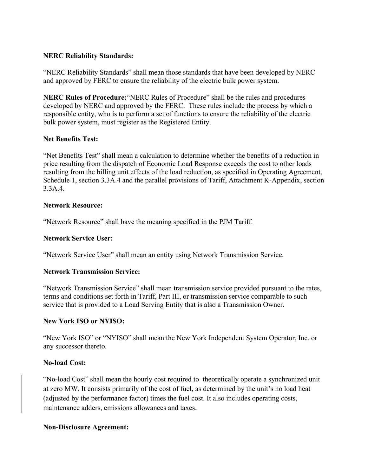## **NERC Reliability Standards:**

"NERC Reliability Standards" shall mean those standards that have been developed by NERC and approved by FERC to ensure the reliability of the electric bulk power system.

**NERC Rules of Procedure:**"NERC Rules of Procedure" shall be the rules and procedures developed by NERC and approved by the FERC. These rules include the process by which a responsible entity, who is to perform a set of functions to ensure the reliability of the electric bulk power system, must register as the Registered Entity.

# **Net Benefits Test:**

"Net Benefits Test" shall mean a calculation to determine whether the benefits of a reduction in price resulting from the dispatch of Economic Load Response exceeds the cost to other loads resulting from the billing unit effects of the load reduction, as specified in Operating Agreement, Schedule 1, section 3.3A.4 and the parallel provisions of Tariff, Attachment K-Appendix, section 3.3A.4.

### **Network Resource:**

"Network Resource" shall have the meaning specified in the PJM Tariff.

## **Network Service User:**

"Network Service User" shall mean an entity using Network Transmission Service.

### **Network Transmission Service:**

"Network Transmission Service" shall mean transmission service provided pursuant to the rates, terms and conditions set forth in Tariff, Part III, or transmission service comparable to such service that is provided to a Load Serving Entity that is also a Transmission Owner.

# **New York ISO or NYISO:**

"New York ISO" or "NYISO" shall mean the New York Independent System Operator, Inc. or any successor thereto.

### **No-load Cost:**

"No-load Cost" shall mean the hourly cost required to theoretically operate a synchronized unit at zero MW. It consists primarily of the cost of fuel, as determined by the unit's no load heat (adjusted by the performance factor) times the fuel cost. It also includes operating costs, maintenance adders, emissions allowances and taxes.

### **Non-Disclosure Agreement:**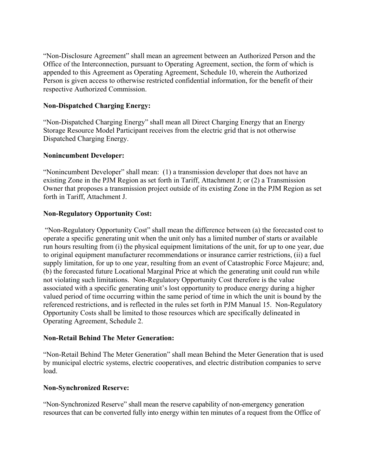"Non-Disclosure Agreement" shall mean an agreement between an Authorized Person and the Office of the Interconnection, pursuant to Operating Agreement, section, the form of which is appended to this Agreement as Operating Agreement, Schedule 10, wherein the Authorized Person is given access to otherwise restricted confidential information, for the benefit of their respective Authorized Commission.

# **Non-Dispatched Charging Energy:**

"Non-Dispatched Charging Energy" shall mean all Direct Charging Energy that an Energy Storage Resource Model Participant receives from the electric grid that is not otherwise Dispatched Charging Energy.

# **Nonincumbent Developer:**

"Nonincumbent Developer" shall mean: (1) a transmission developer that does not have an existing Zone in the PJM Region as set forth in Tariff, Attachment J; or (2) a Transmission Owner that proposes a transmission project outside of its existing Zone in the PJM Region as set forth in Tariff, Attachment J.

## **Non-Regulatory Opportunity Cost:**

"Non-Regulatory Opportunity Cost" shall mean the difference between (a) the forecasted cost to operate a specific generating unit when the unit only has a limited number of starts or available run hours resulting from (i) the physical equipment limitations of the unit, for up to one year, due to original equipment manufacturer recommendations or insurance carrier restrictions, (ii) a fuel supply limitation, for up to one year, resulting from an event of Catastrophic Force Majeure; and, (b) the forecasted future Locational Marginal Price at which the generating unit could run while not violating such limitations. Non-Regulatory Opportunity Cost therefore is the value associated with a specific generating unit's lost opportunity to produce energy during a higher valued period of time occurring within the same period of time in which the unit is bound by the referenced restrictions, and is reflected in the rules set forth in PJM Manual 15. Non-Regulatory Opportunity Costs shall be limited to those resources which are specifically delineated in Operating Agreement, Schedule 2.

### **Non-Retail Behind The Meter Generation:**

"Non-Retail Behind The Meter Generation" shall mean Behind the Meter Generation that is used by municipal electric systems, electric cooperatives, and electric distribution companies to serve load.

### **Non-Synchronized Reserve:**

"Non-Synchronized Reserve" shall mean the reserve capability of non-emergency generation resources that can be converted fully into energy within ten minutes of a request from the Office of